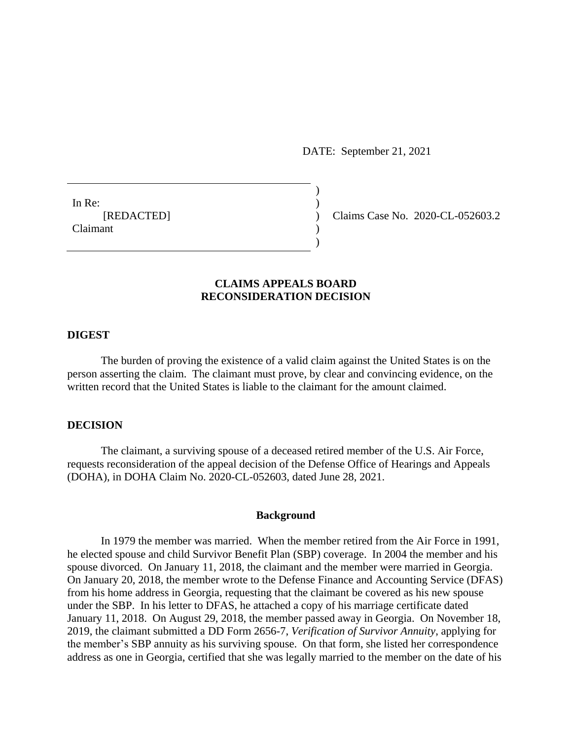DATE: September 21, 2021

 $)$ 

)

In Re:  $\qquad \qquad$ ) Claimant )

[REDACTED] ) Claims Case No. 2020-CL-052603.2

# **CLAIMS APPEALS BOARD RECONSIDERATION DECISION**

## **DIGEST**

The burden of proving the existence of a valid claim against the United States is on the person asserting the claim. The claimant must prove, by clear and convincing evidence, on the written record that the United States is liable to the claimant for the amount claimed.

## **DECISION**

The claimant, a surviving spouse of a deceased retired member of the U.S. Air Force, requests reconsideration of the appeal decision of the Defense Office of Hearings and Appeals (DOHA), in DOHA Claim No. 2020-CL-052603, dated June 28, 2021.

#### **Background**

In 1979 the member was married. When the member retired from the Air Force in 1991, he elected spouse and child Survivor Benefit Plan (SBP) coverage. In 2004 the member and his spouse divorced. On January 11, 2018, the claimant and the member were married in Georgia. On January 20, 2018, the member wrote to the Defense Finance and Accounting Service (DFAS) from his home address in Georgia, requesting that the claimant be covered as his new spouse under the SBP. In his letter to DFAS, he attached a copy of his marriage certificate dated January 11, 2018. On August 29, 2018, the member passed away in Georgia. On November 18, 2019, the claimant submitted a DD Form 2656-7, *Verification of Survivor Annuity*, applying for the member's SBP annuity as his surviving spouse. On that form, she listed her correspondence address as one in Georgia, certified that she was legally married to the member on the date of his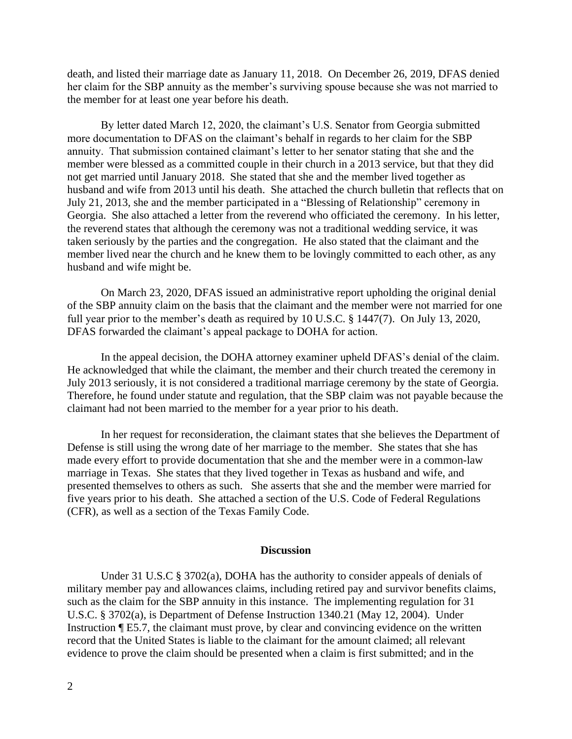death, and listed their marriage date as January 11, 2018. On December 26, 2019, DFAS denied her claim for the SBP annuity as the member's surviving spouse because she was not married to the member for at least one year before his death.

By letter dated March 12, 2020, the claimant's U.S. Senator from Georgia submitted more documentation to DFAS on the claimant's behalf in regards to her claim for the SBP annuity. That submission contained claimant's letter to her senator stating that she and the member were blessed as a committed couple in their church in a 2013 service, but that they did not get married until January 2018. She stated that she and the member lived together as husband and wife from 2013 until his death. She attached the church bulletin that reflects that on July 21, 2013, she and the member participated in a "Blessing of Relationship" ceremony in Georgia. She also attached a letter from the reverend who officiated the ceremony. In his letter, the reverend states that although the ceremony was not a traditional wedding service, it was taken seriously by the parties and the congregation. He also stated that the claimant and the member lived near the church and he knew them to be lovingly committed to each other, as any husband and wife might be.

On March 23, 2020, DFAS issued an administrative report upholding the original denial of the SBP annuity claim on the basis that the claimant and the member were not married for one full year prior to the member's death as required by 10 U.S.C. § 1447(7). On July 13, 2020, DFAS forwarded the claimant's appeal package to DOHA for action.

In the appeal decision, the DOHA attorney examiner upheld DFAS's denial of the claim. He acknowledged that while the claimant, the member and their church treated the ceremony in July 2013 seriously, it is not considered a traditional marriage ceremony by the state of Georgia. Therefore, he found under statute and regulation, that the SBP claim was not payable because the claimant had not been married to the member for a year prior to his death.

In her request for reconsideration, the claimant states that she believes the Department of Defense is still using the wrong date of her marriage to the member. She states that she has made every effort to provide documentation that she and the member were in a common-law marriage in Texas. She states that they lived together in Texas as husband and wife, and presented themselves to others as such. She asserts that she and the member were married for five years prior to his death. She attached a section of the U.S. Code of Federal Regulations (CFR), as well as a section of the Texas Family Code.

#### **Discussion**

Under 31 U.S.C § 3702(a), DOHA has the authority to consider appeals of denials of military member pay and allowances claims, including retired pay and survivor benefits claims, such as the claim for the SBP annuity in this instance. The implementing regulation for 31 U.S.C. § 3702(a), is Department of Defense Instruction 1340.21 (May 12, 2004). Under Instruction ¶ E5.7, the claimant must prove, by clear and convincing evidence on the written record that the United States is liable to the claimant for the amount claimed; all relevant evidence to prove the claim should be presented when a claim is first submitted; and in the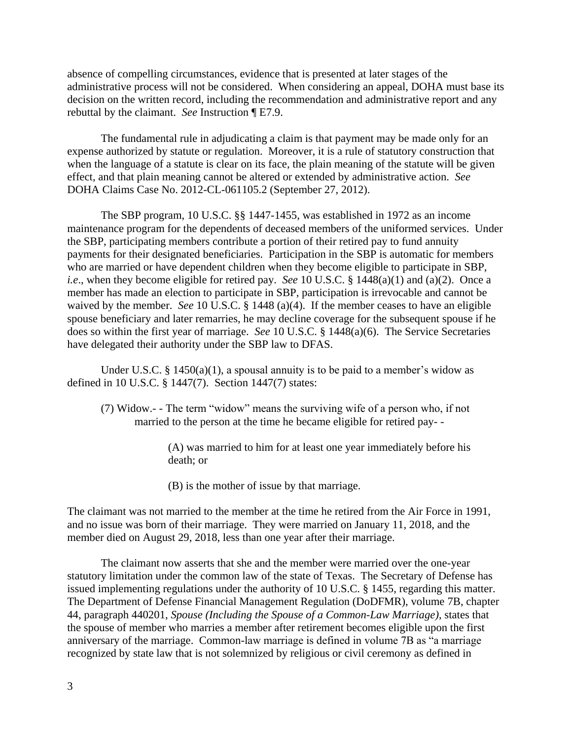absence of compelling circumstances, evidence that is presented at later stages of the administrative process will not be considered. When considering an appeal, DOHA must base its decision on the written record, including the recommendation and administrative report and any rebuttal by the claimant. *See* Instruction ¶ E7.9.

The fundamental rule in adjudicating a claim is that payment may be made only for an expense authorized by statute or regulation. Moreover, it is a rule of statutory construction that when the language of a statute is clear on its face, the plain meaning of the statute will be given effect, and that plain meaning cannot be altered or extended by administrative action. *See*  DOHA Claims Case No. 2012-CL-061105.2 (September 27, 2012).

The SBP program, 10 U.S.C. §§ 1447-1455, was established in 1972 as an income maintenance program for the dependents of deceased members of the uniformed services. Under the SBP, participating members contribute a portion of their retired pay to fund annuity payments for their designated beneficiaries. Participation in the SBP is automatic for members who are married or have dependent children when they become eligible to participate in SBP, *i.e*., when they become eligible for retired pay. *See* 10 U.S.C. § 1448(a)(1) and (a)(2). Once a member has made an election to participate in SBP, participation is irrevocable and cannot be waived by the member. *See* 10 U.S.C. § 1448 (a)(4). If the member ceases to have an eligible spouse beneficiary and later remarries, he may decline coverage for the subsequent spouse if he does so within the first year of marriage. *See* 10 U.S.C. § 1448(a)(6). The Service Secretaries have delegated their authority under the SBP law to DFAS.

Under U.S.C.  $\S$  1450(a)(1), a spousal annuity is to be paid to a member's widow as defined in 10 U.S.C. § 1447(7). Section 1447(7) states:

(7) Widow.- - The term "widow" means the surviving wife of a person who, if not married to the person at the time he became eligible for retired pay- -

> (A) was married to him for at least one year immediately before his death; or

(B) is the mother of issue by that marriage.

The claimant was not married to the member at the time he retired from the Air Force in 1991, and no issue was born of their marriage. They were married on January 11, 2018, and the member died on August 29, 2018, less than one year after their marriage.

The claimant now asserts that she and the member were married over the one-year statutory limitation under the common law of the state of Texas. The Secretary of Defense has issued implementing regulations under the authority of 10 U.S.C. § 1455, regarding this matter. The Department of Defense Financial Management Regulation (DoDFMR), volume 7B, chapter 44, paragraph 440201, *Spouse (Including the Spouse of a Common-Law Marriage)*, states that the spouse of member who marries a member after retirement becomes eligible upon the first anniversary of the marriage. Common-law marriage is defined in volume 7B as "a marriage recognized by state law that is not solemnized by religious or civil ceremony as defined in